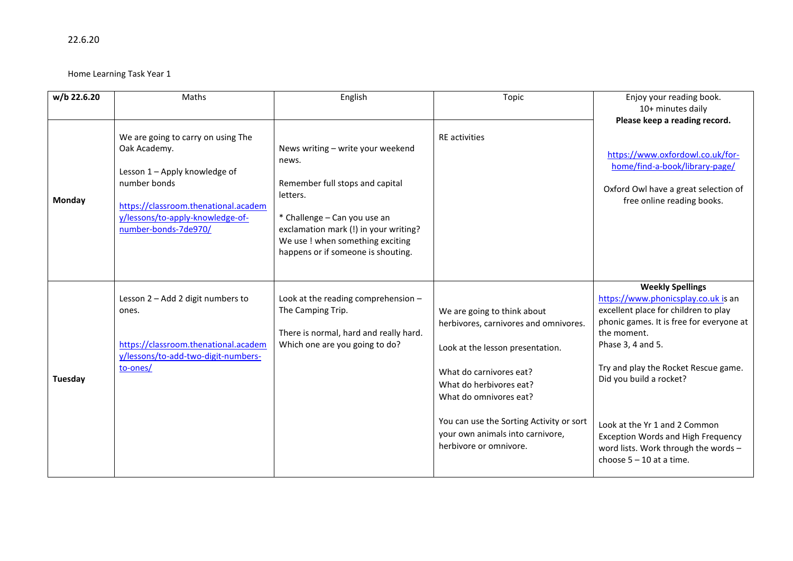22.6.20

Home Learning Task Year 1

| w/b 22.6.20 | Maths                                                                                                                                                                                                   | English                                                                                                                                                                                                                                      | Topic                                                                                                                                                                                                                                                                                              | Enjoy your reading book.<br>10+ minutes daily                                                                                                                                                                                                                                                                                                                                                                 |
|-------------|---------------------------------------------------------------------------------------------------------------------------------------------------------------------------------------------------------|----------------------------------------------------------------------------------------------------------------------------------------------------------------------------------------------------------------------------------------------|----------------------------------------------------------------------------------------------------------------------------------------------------------------------------------------------------------------------------------------------------------------------------------------------------|---------------------------------------------------------------------------------------------------------------------------------------------------------------------------------------------------------------------------------------------------------------------------------------------------------------------------------------------------------------------------------------------------------------|
| Monday      | We are going to carry on using The<br>Oak Academy.<br>Lesson 1 - Apply knowledge of<br>number bonds<br>https://classroom.thenational.academ<br>y/lessons/to-apply-knowledge-of-<br>number-bonds-7de970/ | News writing - write your weekend<br>news.<br>Remember full stops and capital<br>letters.<br>* Challenge - Can you use an<br>exclamation mark (!) in your writing?<br>We use ! when something exciting<br>happens or if someone is shouting. | <b>RE</b> activities                                                                                                                                                                                                                                                                               | Please keep a reading record.<br>https://www.oxfordowl.co.uk/for-<br>home/find-a-book/library-page/<br>Oxford Owl have a great selection of<br>free online reading books.                                                                                                                                                                                                                                     |
| Tuesday     | Lesson 2 - Add 2 digit numbers to<br>ones.<br>https://classroom.thenational.academ<br>y/lessons/to-add-two-digit-numbers-<br>to-ones/                                                                   | Look at the reading comprehension -<br>The Camping Trip.<br>There is normal, hard and really hard.<br>Which one are you going to do?                                                                                                         | We are going to think about<br>herbivores, carnivores and omnivores.<br>Look at the lesson presentation.<br>What do carnivores eat?<br>What do herbivores eat?<br>What do omnivores eat?<br>You can use the Sorting Activity or sort<br>your own animals into carnivore,<br>herbivore or omnivore. | <b>Weekly Spellings</b><br>https://www.phonicsplay.co.uk is an<br>excellent place for children to play<br>phonic games. It is free for everyone at<br>the moment.<br>Phase 3, 4 and 5.<br>Try and play the Rocket Rescue game.<br>Did you build a rocket?<br>Look at the Yr 1 and 2 Common<br><b>Exception Words and High Frequency</b><br>word lists. Work through the words -<br>choose $5 - 10$ at a time. |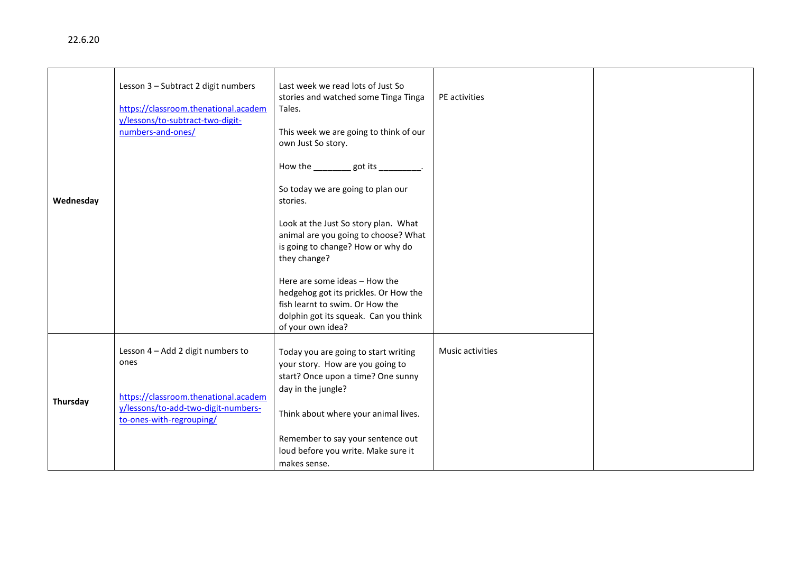|           | Lesson 3 - Subtract 2 digit numbers<br>https://classroom.thenational.academ<br>y/lessons/to-subtract-two-digit-<br>numbers-and-ones/ | Last week we read lots of Just So<br>stories and watched some Tinga Tinga<br>Tales.<br>This week we are going to think of our<br>own Just So story.<br>How the _________got its _________. | PE activities    |  |
|-----------|--------------------------------------------------------------------------------------------------------------------------------------|--------------------------------------------------------------------------------------------------------------------------------------------------------------------------------------------|------------------|--|
| Wednesday |                                                                                                                                      | So today we are going to plan our<br>stories.                                                                                                                                              |                  |  |
|           |                                                                                                                                      | Look at the Just So story plan. What<br>animal are you going to choose? What<br>is going to change? How or why do<br>they change?                                                          |                  |  |
|           |                                                                                                                                      | Here are some ideas - How the<br>hedgehog got its prickles. Or How the<br>fish learnt to swim. Or How the<br>dolphin got its squeak. Can you think<br>of your own idea?                    |                  |  |
|           | Lesson 4 - Add 2 digit numbers to<br>ones<br>https://classroom.thenational.academ                                                    | Today you are going to start writing<br>your story. How are you going to<br>start? Once upon a time? One sunny<br>day in the jungle?                                                       | Music activities |  |
| Thursday  | y/lessons/to-add-two-digit-numbers-<br>to-ones-with-regrouping/                                                                      | Think about where your animal lives.                                                                                                                                                       |                  |  |
|           |                                                                                                                                      | Remember to say your sentence out<br>loud before you write. Make sure it<br>makes sense.                                                                                                   |                  |  |